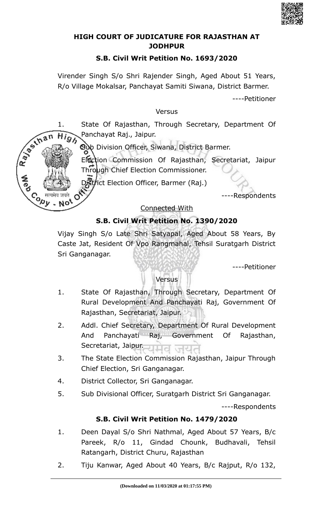

### **HIGH COURT OF JUDICATURE FOR RAJASTHAN AT JODHPUR**

### **S.B. Civil Writ Petition No. 1693/2020**

Virender Singh S/o Shri Rajender Singh, Aged About 51 Years, R/o Village Mokalsar, Panchayat Samiti Siwana, District Barmer.

----Petitioner

### Versus

1. State Of Rajasthan, Through Secretary, Department Of Ranting  $\overrightarrow{Hig}_\lambda$  Panchayat Raj., Jaipui.<br>2. Sub Division Officer, Siwana, District Barmer. Panchayat Raj., Jaipur.

Election Commission Of Rajasthan, Secretariat, Jaipur Through Chief Election Commissioner.

District Election Officer, Barmer (Raj.)

**Cody** 

- No'

----Respondents

### Connected With

## **S.B. Civil Writ Petition No. 1390/2020**

Vijay Singh S/o Late Shri Satyapal, Aged About 58 Years, By Caste Jat, Resident Of Vpo Rangmahal, Tehsil Suratgarh District Sri Ganganagar.

----Petitioner

### **Versus**

- 1. State Of Rajasthan, Through Secretary, Department Of Rural Development And Panchayati Raj, Government Of Rajasthan, Secretariat, Jaipur.
- 2. Addl. Chief Secretary, Department Of Rural Development And Panchayati Raj, Government Of Rajasthan, Secretariat, Jaipur.
- 3. The State Election Commission Rajasthan, Jaipur Through Chief Election, Sri Ganganagar.
- 4. District Collector, Sri Ganganagar.
- 5. Sub Divisional Officer, Suratgarh District Sri Ganganagar.

----Respondents

### **S.B. Civil Writ Petition No. 1479/2020**

- 1. Deen Dayal S/o Shri Nathmal, Aged About 57 Years, B/c Pareek, R/o 11, Gindad Chounk, Budhavali, Tehsil Ratangarh, District Churu, Rajasthan
- 2. Tiju Kanwar, Aged About 40 Years, B/c Rajput, R/o 132,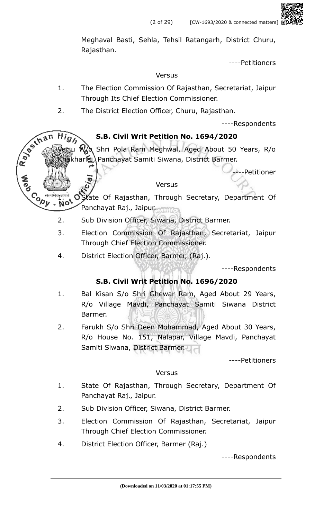Meghaval Basti, Sehla, Tehsil Ratangarh, District Churu, Rajasthan.

----Petitioners

#### Versus

- 1. The Election Commission Of Rajasthan, Secretariat, Jaipur Through Its Chief Election Commissioner.
- 2. The District Election Officer, Churu, Rajasthan.

----Respondents

### **S.B. Civil Writ Petition No. 1694/2020**

Shri Pola Ram Meghwal, Aged About 50 Years, R/o kharlai) Panchayat Samiti Siwana, District Barmer.

**---Petitioner** 

#### Versus

I<sup>THE</sup> OState Of Rajasthan, Through Secretary, Department Of Panchayat Raj., Jaipur.

- 2. Sub Division Officer, Siwana, District Barmer.
- 3. Election Commission Of Rajasthan, Secretariat, Jaipur Through Chief Election Commissioner.
- 4. District Election Officer, Barmer, (Raj.).

**Copy** 

----Respondents

### **S.B. Civil Writ Petition No. 1696/2020**

- 1. Bal Kisan S/o Shri Ghewar Ram, Aged About 29 Years, R/o Village Mavdi, Panchayat Samiti Siwana District Barmer.
- 2. Farukh S/o Shri Deen Mohammad, Aged About 30 Years, R/o House No. 151, Nalapar, Village Mavdi, Panchayat Samiti Siwana, District Barmer.

----Petitioners

#### Versus

- 1. State Of Rajasthan, Through Secretary, Department Of Panchayat Raj., Jaipur.
- 2. Sub Division Officer, Siwana, District Barmer.
- 3. Election Commission Of Rajasthan, Secretariat, Jaipur Through Chief Election Commissioner.
- 4. District Election Officer, Barmer (Raj.)

----Respondents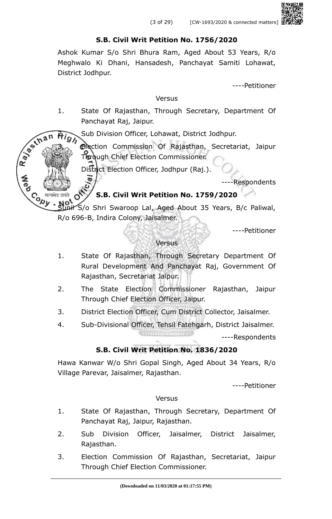### **S.B. Civil Writ Petition No. 1756/2020**

Ashok Kumar S/o Shri Bhura Ram, Aged About 53 Years, R/o Meghwalo Ki Dhani, Hansadesh, Panchayat Samiti Lohawat, District Jodhpur.

----Petitioner

#### **Versus**

1. State Of Rajasthan, Through Secretary, Department Of Panchayat Raj, Jaipur.

 $\widetilde{P}$  Sub Division Officer, Lohawat, District Jodhpur.

3. Election Commission Of Rajasthan, Secretariat, Jaipur Through Chief Election Commissioner.

District Election Officer, Jodhpur (Raj.).

Rayton's

----Respondents

## **S.B. Civil Writ Petition No. 1759/2020**

Contraction Inil S/o Shri Swaroop Lal, Aged About 35 Years, B/c Paliwal, R/o 696-B, Indira Colony, Jaisalmer.

----Petitioner

#### Versus

- 1. State Of Rajasthan, Through Secretary Department Of Rural Development And Panchayat Raj, Government Of Rajasthan, Secretariat Jaipur.
- 2. The State Election Commissioner Rajasthan, Jaipur Through Chief Election Officer, Jaipur.
- 3. District Election Officer, Cum District Collector, Jaisalmer.
- 4. Sub-Divisional Officer, Tehsil Fatehgarh, District Jaisalmer.

----Respondents

## **S.B. Civil Writ Petition No. 1836/2020**

Hawa Kanwar W/o Shri Gopal Singh, Aged About 34 Years, R/o Village Parevar, Jaisalmer, Rajasthan.

----Petitioner

### **Versus**

- 1. State Of Rajasthan, Through Secretary, Department Of Panchayat Raj, Jaipur, Rajasthan.
- 2. Sub Division Officer, Jaisalmer, District Jaisalmer, Rajasthan.
- 3. Election Commission Of Rajasthan, Secretariat, Jaipur Through Chief Election Commissioner.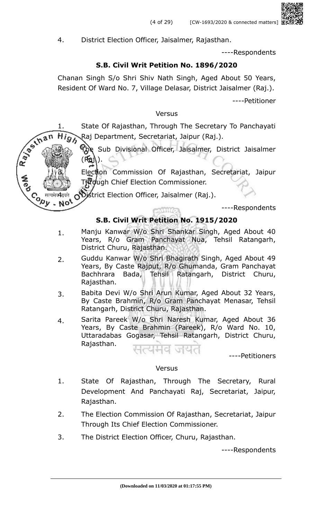4. District Election Officer, Jaisalmer, Rajasthan.

----Respondents

### **S.B. Civil Writ Petition No. 1896/2020**

Chanan Singh S/o Shri Shiv Nath Singh, Aged About 50 Years, Resident Of Ward No. 7, Village Delasar, District Jaisalmer (Raj.).

----Petitioner

#### Versus

Ray of that 1. State Of Rajasthan, Through The Secretary To Panchayati **High** Raj Department, Secretariat, Jaipur (Raj.).

The Sub Divisional Officer, Jaisalmer, District Jaisalmer  $(K_2)$ .

Election Commission Of Rajasthan, Secretariat, Jaipur Through Chief Election Commissioner.

District Election Officer, Jaisalmer (Raj.).

Contre

No.

----Respondents

## **S.B. Civil Writ Petition No. 1915/2020**

- 1. Manju Kanwar W/o Shri Shankar Singh, Aged About 40 Years, R/o Gram Panchayat Nua, Tehsil Ratangarh, District Churu, Rajasthan.
- 2. Guddu Kanwar W/o Shri Bhagirath Singh, Aged About 49 Years, By Caste Rajput, R/o Ghumanda, Gram Panchayat Bachhrara Bada, Tehsil Ratangarh, District Churu, Rajasthan.
- 3. Babita Devi W/o Shri Arun Kumar, Aged About 32 Years, By Caste Brahmin, R/o Gram Panchayat Menasar, Tehsil Ratangarh, District Churu, Rajasthan.
- 4. Sarita Pareek W/o Shri Naresh Kumar, Aged About 36 Years, By Caste Brahmin (Pareek), R/o Ward No. 10, Uttaradabas Gogasar, Tehsil Ratangarh, District Churu, Rajasthan.

----Petitioners

### Versus

- 1. State Of Rajasthan, Through The Secretary, Rural Development And Panchayati Raj, Secretariat, Jaipur, Rajasthan.
- 2. The Election Commission Of Rajasthan, Secretariat, Jaipur Through Its Chief Election Commissioner.
- 3. The District Election Officer, Churu, Rajasthan.

----Respondents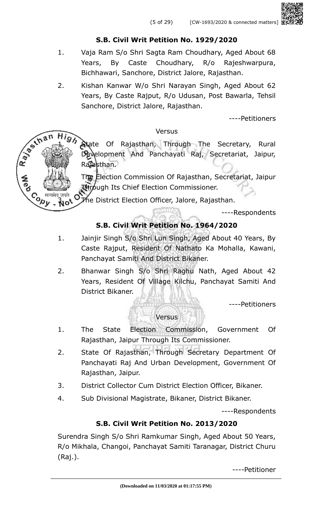## **S.B. Civil Writ Petition No. 1929/2020**

- 1. Vaja Ram S/o Shri Sagta Ram Choudhary, Aged About 68 Years, By Caste Choudhary, R/o Rajeshwarpura, Bichhawari, Sanchore, District Jalore, Rajasthan.
- 2. Kishan Kanwar W/o Shri Narayan Singh, Aged About 62 Years, By Caste Rajput, R/o Udusan, Post Bawarla, Tehsil Sanchore, District Jalore, Rajasthan.

----Petitioners

### Versus

**Atate Of Rajasthan, Through The Secretary, Rural** Development And Panchayati Raj, Secretariat, Jaipur, Rajasthan.

2. The Election Commission Of Rajasthan, Secretariat, Jaipur Through Its Chief Election Commissioner.

7he District Election Officer, Jalore, Rajasthan.

----Respondents

# **S.B. Civil Writ Petition No. 1964/2020**

- 1. Jainjir Singh S/o Shri Lun Singh, Aged About 40 Years, By Caste Rajput, Resident Of Nathato Ka Mohalla, Kawani, Panchayat Samiti And District Bikaner.
- 2. Bhanwar Singh S/o Shri Raghu Nath, Aged About 42 Years, Resident Of Village Kilchu, Panchayat Samiti And District Bikaner.

----Petitioners

## Versus

- 1. The State Election Commission, Government Of Rajasthan, Jaipur Through Its Commissioner.
- 2. State Of Rajasthan, Through Secretary Department Of Panchayati Raj And Urban Development, Government Of Rajasthan, Jaipur.
- 3. District Collector Cum District Election Officer, Bikaner.
- 4. Sub Divisional Magistrate, Bikaner, District Bikaner.

----Respondents

## **S.B. Civil Writ Petition No. 2013/2020**

Surendra Singh S/o Shri Ramkumar Singh, Aged About 50 Years, R/o Mikhala, Changoi, Panchayat Samiti Taranagar, District Churu (Raj.).

----Petitioner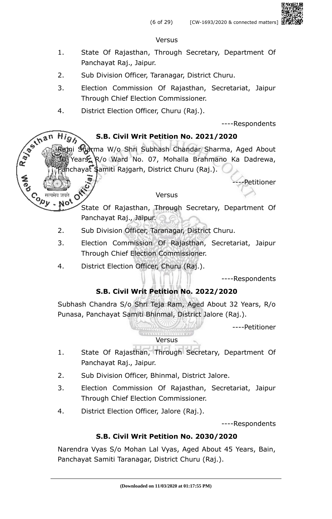### Versus

- 1. State Of Rajasthan, Through Secretary, Department Of Panchayat Raj., Jaipur.
- 2. Sub Division Officer, Taranagar, District Churu.
- 3. Election Commission Of Rajasthan, Secretariat, Jaipur Through Chief Election Commissioner.
- 4. District Election Officer, Churu (Raj.).

----Respondents

## **S.B. Civil Writ Petition No. 2021/2020**

 $High$ ai Sharma W/o Shri Subhash Chandar Sharma, Aged About 30 Years, R/o Ward No. 07, Mohalla Brahmano Ka Dadrewa,  $\hat{P}$ nchayat Samiti Rajgarh, District Churu (Raj.).

-Petitioner

### Versus

- I. Judit Christian State Of Rajasthan, Through Secretary, Department Of Panchayat Raj., Jaipur.
- 2. Sub Division Officer, Taranagar, District Churu.
- 3. Election Commission Of Rajasthan, Secretariat, Jaipur Through Chief Election Commissioner.
- 4. District Election Officer, Churu (Raj.).

**Cody** 

----Respondents

## **S.B. Civil Writ Petition No. 2022/2020**

Subhash Chandra S/o Shri Teja Ram, Aged About 32 Years, R/o Punasa, Panchayat Samiti Bhinmal, District Jalore (Raj.).

----Petitioner

### Versus

- 1. State Of Rajasthan, Through Secretary, Department Of Panchayat Raj., Jaipur.
- 2. Sub Division Officer, Bhinmal, District Jalore.
- 3. Election Commission Of Rajasthan, Secretariat, Jaipur Through Chief Election Commissioner.
- 4. District Election Officer, Jalore (Raj.).

----Respondents

## **S.B. Civil Writ Petition No. 2030/2020**

Narendra Vyas S/o Mohan Lal Vyas, Aged About 45 Years, Bain, Panchayat Samiti Taranagar, District Churu (Raj.).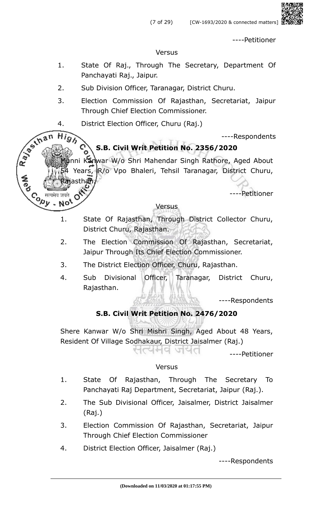----Petitioner

#### **Versus**

- 1. State Of Raj., Through The Secretary, Department Of Panchayati Raj., Jaipur.
- 2. Sub Division Officer, Taranagar, District Churu.
- 3. Election Commission Of Rajasthan, Secretariat, Jaipur Through Chief Election Commissioner.
- 4. District Election Officer, Churu (Raj.)

Rajasthan,

**High** 

No<sup>t</sup>

R. P. S. In a n

Cony

----Respondents

# **S.B. Civil Writ Petition No. 2356/2020**

Kanwar W/o Shri Mahendar Singh Rathore, Aged About Years, R/o Vpo Bhaleri, Tehsil Taranagar, District Churu,

----Petitioner

### Versus

- 1. State Of Rajasthan, Through District Collector Churu, District Churu, Rajasthan.
- 2. The Election Commission Of Rajasthan, Secretariat, Jaipur Through Its Chief Election Commissioner.
- 3. The District Election Officer, Churu, Rajasthan.
- 4. Sub Divisional Officer, Taranagar, District Churu, Rajasthan.

----Respondents

## **S.B. Civil Writ Petition No. 2476/2020**

Shere Kanwar W/o Shri Mishri Singh, Aged About 48 Years, Resident Of Village Sodhakaur, District Jaisalmer (Raj.) सत्यमव जयत

----Petitioner

### Versus

- 1. State Of Rajasthan, Through The Secretary To Panchayati Raj Department, Secretariat, Jaipur (Raj.).
- 2. The Sub Divisional Officer, Jaisalmer, District Jaisalmer (Raj.)
- 3. Election Commission Of Rajasthan, Secretariat, Jaipur Through Chief Election Commissioner
- 4. District Election Officer, Jaisalmer (Raj.)

----Respondents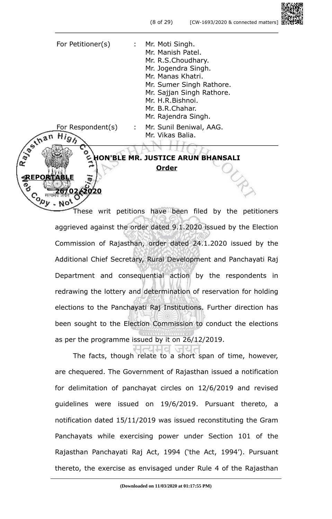For Petitioner(s) : Mr. Moti Singh. Mr. Manish Patel. Mr. R.S.Choudhary. Mr. Jogendra Singh. Mr. Manas Khatri. Mr. Sumer Singh Rathore. Mr. Sajjan Singh Rathore. Mr. H.R.Bishnoi. Mr. B.R.Chahar. Mr. Rajendra Singh. For Respondent(s) : Mr. Sunil Beniwal, AAG. H<sub>igh</sub> Mr. Vikas Balia.

**REPORTABLE**

໌<br>ເຈົ້າ

an

Rayan

**26/02/2020**

**HON'BLE MR. JUSTICE ARUN BHANSALI Order**

These writ petitions have been filed by the petitioners aggrieved against the order dated 9.1.2020 issued by the Election Commission of Rajasthan, order dated 24.1.2020 issued by the Additional Chief Secretary, Rural Development and Panchayati Raj Department and consequential action by the respondents in redrawing the lottery and determination of reservation for holding elections to the Panchayati Raj Institutions. Further direction has been sought to the Election Commission to conduct the elections as per the programme issued by it on 26/12/2019.

The facts, though relate to a short span of time, however, are chequered. The Government of Rajasthan issued a notification for delimitation of panchayat circles on 12/6/2019 and revised guidelines were issued on 19/6/2019. Pursuant thereto, a notification dated 15/11/2019 was issued reconstituting the Gram Panchayats while exercising power under Section 101 of the Rajasthan Panchayati Raj Act, 1994 ('the Act, 1994'). Pursuant thereto, the exercise as envisaged under Rule 4 of the Rajasthan

Hd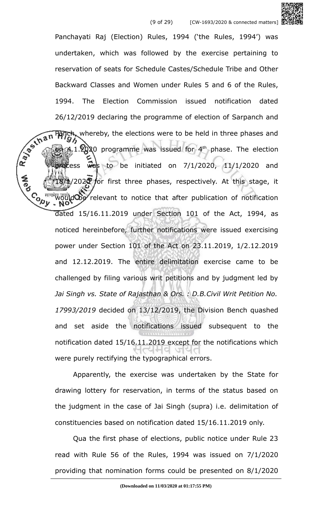Panchayati Raj (Election) Rules, 1994 ('the Rules, 1994') was undertaken, which was followed by the exercise pertaining to reservation of seats for Schedule Castes/Schedule Tribe and Other Backward Classes and Women under Rules 5 and 6 of the Rules, 1994. The Election Commission issued notification dated 26/12/2019 declaring the programme of election of Sarpanch and<br>  $\frac{1}{2}$ <br>  $\frac{1}{2}$ <br>  $\frac{1}{2}$ <br>  $\frac{1}{2}$ <br>  $\frac{1}{2}$ <br>  $\frac{1}{2}$ <br>  $\frac{1}{2}$ <br>  $\frac{1}{2}$ <br>  $\frac{1}{2}$ <br>  $\frac{1}{2}$ <br>  $\frac{1}{2}$ <br>  $\frac{1}{2}$ <br>  $\frac{1}{2}$ <br>  $\frac{1}{2}$ <br>  $\frac$ Panch, whereby, the elections were to be held in three phases and  $\lambda$  1.2020 programme was issued for 4<sup>th</sup> phase. The election process was to be initiated on  $7/1/2020$ ,  $11/1/2020$  and  $1/202$  for first three phases, respectively. At this stage, it ould be relevant to notice that after publication of notification dated 15/16.11.2019 under Section 101 of the Act, 1994, as noticed hereinbefore, further notifications were issued exercising power under Section 101 of the Act on 23.11.2019, 1/2.12.2019 and 12.12.2019. The entire delimitation exercise came to be challenged by filing various writ petitions and by judgment led by *Jai Singh vs. State of Rajasthan & Ors. : D.B.Civil Writ Petition No. 17993/2019* decided on 13/12/2019, the Division Bench quashed and set aside the notifications issued subsequent to the notification dated 15/16.11.2019 except for the notifications which

> Apparently, the exercise was undertaken by the State for drawing lottery for reservation, in terms of the status based on the judgment in the case of Jai Singh (supra) i.e. delimitation of constituencies based on notification dated 15/16.11.2019 only.

were purely rectifying the typographical errors.

**Cody** 

Qua the first phase of elections, public notice under Rule 23 read with Rule 56 of the Rules, 1994 was issued on 7/1/2020 providing that nomination forms could be presented on 8/1/2020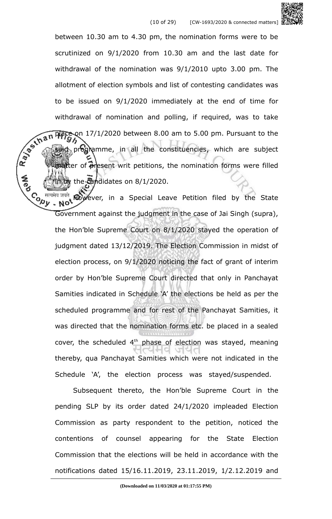

between 10.30 am to 4.30 pm, the nomination forms were to be scrutinized on 9/1/2020 from 10.30 am and the last date for withdrawal of the nomination was 9/1/2010 upto 3.00 pm. The allotment of election symbols and list of contesting candidates was to be issued on 9/1/2020 immediately at the end of time for withdrawal of nomination and polling, if required, was to take<br> $\sqrt{2\pi n}$   $\frac{17}{12020}$  between 8.00 am to 5.00 pm. Pursuant to the<br> $\sqrt{2\pi}$ place on 17/1/2020 between 8.00 am to 5.00 pm. Pursuant to the programme, in all the constituencies, which are subject metter of present writ petitions, the nomination forms were filled  $\frac{1}{200}$  the candidates on 8/1/2020.

However, in a Special Leave Petition filed by the State Co  $\frac{d}{dx}$  and  $\frac{d}{dx}$   $\frac{d}{dx}$  and  $\frac{d}{dx}$  in a Special Leave Peution means,  $\frac{d}{dx}$ ,  $\frac{d}{dx}$ ,  $\frac{d}{dx}$  Government against the judgment in the case of Jai Singh (supra), the Hon'ble Supreme Court on 8/1/2020 stayed the operation of judgment dated 13/12/2019. The Election Commission in midst of election process, on 9/1/2020 noticing the fact of grant of interim order by Hon'ble Supreme Court directed that only in Panchayat Samities indicated in Schedule 'A' the elections be held as per the scheduled programme and for rest of the Panchayat Samities, it was directed that the nomination forms etc. be placed in a sealed cover, the scheduled  $4<sup>th</sup>$  phase of election was stayed, meaning thereby, qua Panchayat Samities which were not indicated in the Schedule 'A', the election process was stayed/suspended.

Subsequent thereto, the Hon'ble Supreme Court in the pending SLP by its order dated 24/1/2020 impleaded Election Commission as party respondent to the petition, noticed the contentions of counsel appearing for the State Election Commission that the elections will be held in accordance with the notifications dated 15/16.11.2019, 23.11.2019, 1/2.12.2019 and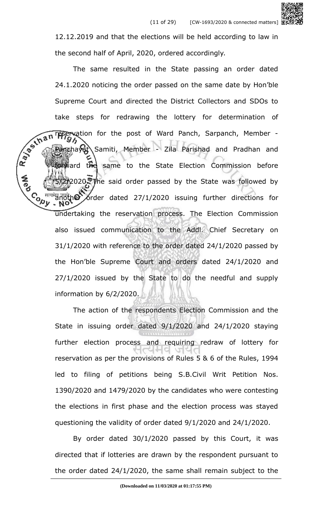12.12.2019 and that the elections will be held according to law in the second half of April, 2020, ordered accordingly.

The same resulted in the State passing an order dated 24.1.2020 noticing the order passed on the same date by Hon'ble Supreme Court and directed the District Collectors and SDOs to take steps for redrawing the lottery for determination of R. Pay Line reservation for the post of Ward Panch, Sarpanch, Member -Panchayat Samiti, Member - Zila Parishad and Pradhan and forward the same to the State Election Commission before 2020. The said order passed by the State was followed by **Cody** another order dated 27/1/2020 issuing further directions for undertaking the reservation process. The Election Commission also issued communication to the Addl. Chief Secretary on 31/1/2020 with reference to the order dated 24/1/2020 passed by the Hon'ble Supreme Court and orders dated 24/1/2020 and  $27/1/2020$  issued by the State to do the needful and supply information by 6/2/2020.

> The action of the respondents Election Commission and the State in issuing order dated 9/1/2020 and 24/1/2020 staying further election process and requiring redraw of lottery for reservation as per the provisions of Rules 5 & 6 of the Rules, 1994 led to filing of petitions being S.B.Civil Writ Petition Nos. 1390/2020 and 1479/2020 by the candidates who were contesting the elections in first phase and the election process was stayed questioning the validity of order dated 9/1/2020 and 24/1/2020.

> By order dated 30/1/2020 passed by this Court, it was directed that if lotteries are drawn by the respondent pursuant to the order dated 24/1/2020, the same shall remain subject to the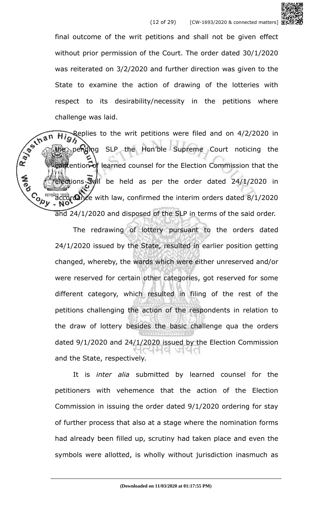

final outcome of the writ petitions and shall not be given effect without prior permission of the Court. The order dated 30/1/2020 was reiterated on 3/2/2020 and further direction was given to the State to examine the action of drawing of the lotteries with respect to its desirability/necessity in the petitions where

challenge was laid.<br>
The Replies to the<br>
The Pendix<br>
The Pendix  $\widetilde{H}$  Replies to the writ petitions were filed and on 4/2/2020 in pending SLP the Hon'ble Supreme Court noticing the contention of learned counsel for the Election Commission that the elections will be held as per the order dated 24/1/2020 in **Covy** accordance with law, confirmed the interim orders dated 8/1/2020 and 24/1/2020 and disposed of the SLP in terms of the said order.

> The redrawing of lottery pursuant to the orders dated 24/1/2020 issued by the State, resulted in earlier position getting changed, whereby, the wards which were either unreserved and/or were reserved for certain other categories, got reserved for some different category, which resulted in filing of the rest of the petitions challenging the action of the respondents in relation to the draw of lottery besides the basic challenge qua the orders dated 9/1/2020 and 24/1/2020 issued by the Election Commission and the State, respectively.

> It is *inter alia* submitted by learned counsel for the petitioners with vehemence that the action of the Election Commission in issuing the order dated 9/1/2020 ordering for stay of further process that also at a stage where the nomination forms had already been filled up, scrutiny had taken place and even the symbols were allotted, is wholly without jurisdiction inasmuch as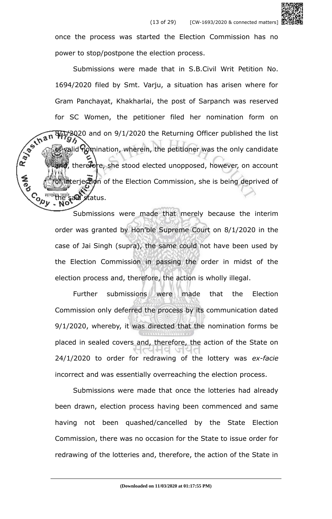

Submissions were made that in S.B.Civil Writ Petition No. 1694/2020 filed by Smt. Varju, a situation has arisen where for Gram Panchayat, Khakharlai, the post of Sarpanch was reserved for SC Women, the petitioner filed her nomination form on Ray of that 8/17/2020 and on 9/1/2020 the Returning Officer published the list valid nomination, wherein, the petitioner was the only candidate and, therefore, she stood elected unopposed, however, on account interjection of the Election Commission, she is being deprived of **Covy** said status.

> Submissions were made that merely because the interim order was granted by Hon'ble Supreme Court on 8/1/2020 in the case of Jai Singh (supra), the same could not have been used by the Election Commission in passing the order in midst of the election process and, therefore, the action is wholly illegal.

> Further submissions were made that the Election Commission only deferred the process by its communication dated 9/1/2020, whereby, it was directed that the nomination forms be placed in sealed covers and, therefore, the action of the State on 24/1/2020 to order for redrawing of the lottery was *ex-facie* incorrect and was essentially overreaching the election process.

> Submissions were made that once the lotteries had already been drawn, election process having been commenced and same having not been quashed/cancelled by the State Election Commission, there was no occasion for the State to issue order for redrawing of the lotteries and, therefore, the action of the State in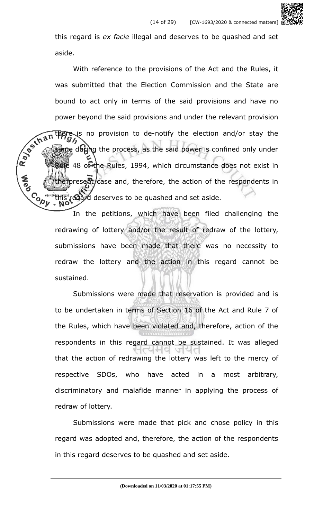this regard is *ex facie* illegal and deserves to be quashed and set aside.

With reference to the provisions of the Act and the Rules, it was submitted that the Election Commission and the State are bound to act only in terms of the said provisions and have no power beyond the said provisions and under the relevant provision Rays In is no provision to de-notify the election and/or stay the ie during the process, as the said power is confined only under **、 48 of the Rules, 1994, which circumstance does not exist in** present/case and, therefore, the action of the respondents in **Cody** regard deserves to be quashed and set aside.

> In the petitions, which have been filed challenging the redrawing of lottery and/or the result of redraw of the lottery, submissions have been made that there was no necessity to redraw the lottery and the action in this regard cannot be sustained.

> Submissions were made that reservation is provided and is to be undertaken in terms of Section 16 of the Act and Rule 7 of the Rules, which have been violated and, therefore, action of the respondents in this regard cannot be sustained. It was alleged that the action of redrawing the lottery was left to the mercy of respective SDOs, who have acted in a most arbitrary, discriminatory and malafide manner in applying the process of redraw of lottery.

> Submissions were made that pick and chose policy in this regard was adopted and, therefore, the action of the respondents in this regard deserves to be quashed and set aside.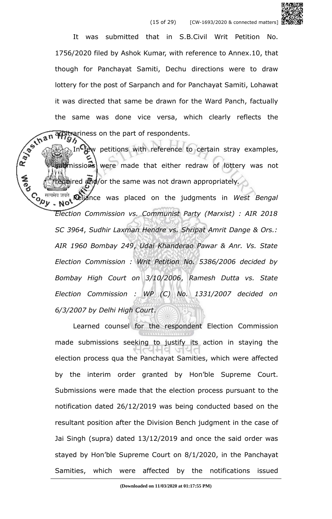It was submitted that in S.B.Civil Writ Petition No. 1756/2020 filed by Ashok Kumar, with reference to Annex.10, that though for Panchayat Samiti, Dechu directions were to draw lottery for the post of Sarpanch and for Panchayat Samiti, Lohawat it was directed that same be drawn for the Ward Panch, factually arbitrariness on the part of respondents.

the same was done vice versa, which clearly reflects the  $\frac{1}{2}$  or  $\frac{1}{2}$  in the part of respondents. In few petitions with reference to certain stray examples, submissions were made that either redraw of lottery was not **A**<br>Po equired and/or the same was not drawn appropriately.

Contre<sup> Reliance was placed on the judgments in *West Bengal*<br>
West *Reliance* was placed on the judgments in *West Bengal*</sup> *Election Commission vs. Communist Party (Marxist) : AIR 2018 SC 3964*, *Sudhir Laxman Hendre vs. Shripat Amrit Dange & Ors.: AIR 1960 Bombay 249*, *Udai Khanderao Pawar & Anr. Vs. State Election Commission : Writ Petition No. 5386/2006 decided by Bombay High Court on 3/10/2006*, *Ramesh Dutta vs. State Election Commission : WP (C) No. 1331/2007 decided on 6/3/2007 by Delhi High Court*.

Learned counsel for the respondent Election Commission made submissions seeking to justify its action in staying the election process qua the Panchayat Samities, which were affected by the interim order granted by Hon'ble Supreme Court. Submissions were made that the election process pursuant to the notification dated 26/12/2019 was being conducted based on the resultant position after the Division Bench judgment in the case of Jai Singh (supra) dated 13/12/2019 and once the said order was stayed by Hon'ble Supreme Court on 8/1/2020, in the Panchayat Samities, which were affected by the notifications issued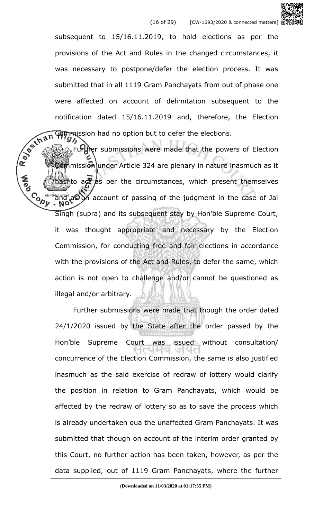

subsequent to 15/16.11.2019, to hold elections as per the provisions of the Act and Rules in the changed circumstances, it was necessary to postpone/defer the election process. It was submitted that in all 1119 Gram Panchayats from out of phase one were affected on account of delimitation subsequent to the **Commission had no option but to defer the elections.** 

notification dated 15/16.11.2019 and, therefore, the Election<br>  $\sqrt{2\pi}$ <br>
Fund the submissions were made that the elections. Further submissions were made that the powers of Election commission under Article 324 are plenary in nature inasmuch as it **A**ed to act as per the circumstances, which present themselves Contra and as on account of passing of the judgment in the case of Jai Singh (supra) and its subsequent stay by Hon'ble Supreme Court, it was thought appropriate and necessary by the Election Commission, for conducting free and fair elections in accordance with the provisions of the Act and Rules, to defer the same, which action is not open to challenge and/or cannot be questioned as illegal and/or arbitrary.

> Further submissions were made that though the order dated 24/1/2020 issued by the State after the order passed by the Hon'ble Supreme Court was issued without consultation/ concurrence of the Election Commission, the same is also justified inasmuch as the said exercise of redraw of lottery would clarify the position in relation to Gram Panchayats, which would be affected by the redraw of lottery so as to save the process which is already undertaken qua the unaffected Gram Panchayats. It was submitted that though on account of the interim order granted by this Court, no further action has been taken, however, as per the data supplied, out of 1119 Gram Panchayats, where the further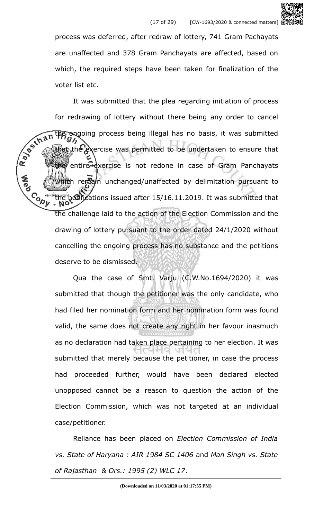

process was deferred, after redraw of lottery, 741 Gram Pachayats are unaffected and 378 Gram Panchayats are affected, based on which, the required steps have been taken for finalization of the voter list etc.

It was submitted that the plea regarding initiation of process for redrawing of lottery without there being any order to cancel Ray of that the ongoing process being illegal has no basis, it was submitted hat the exercise was permitted to be undertaken to ensure that entire exercise is not redone in case of Gram Panchayats **SPS** thich remain unchanged/unaffected by delimitation pursuant to  $\mathcal{L}_{\mathbf{a}_{1}}$  and the notifications issued after 15/16.11.2019. It was submitted that the challenge laid to the action of the Election Commission and the drawing of lottery pursuant to the order dated 24/1/2020 without cancelling the ongoing process has no substance and the petitions deserve to be dismissed.

> Qua the case of Smt. Varju (C.W.No.1694/2020) it was submitted that though the petitioner was the only candidate, who had filed her nomination form and her nomination form was found valid, the same does not create any right in her favour inasmuch as no declaration had taken place pertaining to her election. It was submitted that merely because the petitioner, in case the process had proceeded further, would have been declared elected unopposed cannot be a reason to question the action of the Election Commission, which was not targeted at an individual case/petitioner.

> Reliance has been placed on *Election Commission of India vs. State of Haryana : AIR 1984 SC 1406* and *Man Singh vs. State of Rajasthan & Ors.: 1995 (2) WLC 17*.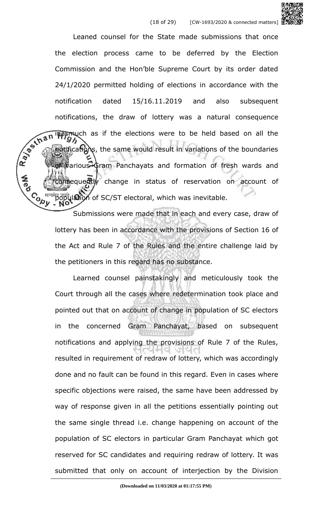Leaned counsel for the State made submissions that once the election process came to be deferred by the Election Commission and the Hon'ble Supreme Court by its order dated 24/1/2020 permitted holding of elections in accordance with the notification dated 15/16.11.2019 and also subsequent notifications, the draw of lottery was a natural consequence R. Januar inasmuch as if the elections were to be held based on all the notifications, the same would result in variations of the boundaries warious Gram Panchayats and formation of fresh wards and onsequently change in status of reservation on account of **Copy** ulation of SC/ST electoral, which was inevitable.

> Submissions were made that in each and every case, draw of lottery has been in accordance with the provisions of Section 16 of the Act and Rule 7 of the Rules and the entire challenge laid by the petitioners in this regard has no substance.

> Learned counsel painstakingly and meticulously took the Court through all the cases where redetermination took place and pointed out that on account of change in population of SC electors in the concerned Gram Panchayat, based on subsequent notifications and applying the provisions of Rule 7 of the Rules, resulted in requirement of redraw of lottery, which was accordingly done and no fault can be found in this regard. Even in cases where specific objections were raised, the same have been addressed by way of response given in all the petitions essentially pointing out the same single thread i.e. change happening on account of the population of SC electors in particular Gram Panchayat which got reserved for SC candidates and requiring redraw of lottery. It was submitted that only on account of interjection by the Division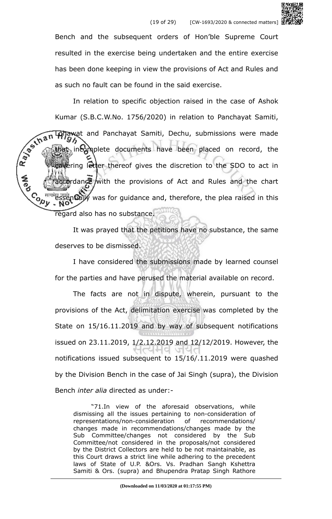

In relation to specific objection raised in the case of Ashok Kumar (S.B.C.W.No. 1756/2020) in relation to Panchayat Samiti,<br> **Kumar Hilippe in Final Panchayat Samiti**, Dechu, submissions were made<br> **An Hilippe incomplete documents have been place in the complete documents have been** Lohawat and Panchayat Samiti, Dechu, submissions were made incomplete documents have been placed on record, the covering letter thereof gives the discretion to the SDO to act in accordance with the provisions of Act and Rules and the chart Contract essentially was for guidance and, therefore, the plea raised in this regard also has no substance.

> It was prayed that the petitions have no substance, the same deserves to be dismissed.

> I have considered the submissions made by learned counsel for the parties and have perused the material available on record.

> The facts are not in dispute, wherein, pursuant to the provisions of the Act, delimitation exercise was completed by the State on 15/16.11.2019 and by way of subsequent notifications issued on 23.11.2019, 1/2.12.2019 and 12/12/2019. However, the notifications issued subsequent to 15/16/.11.2019 were quashed by the Division Bench in the case of Jai Singh (supra), the Division Bench *inter alia* directed as under:-

"71.In view of the aforesaid observations, while dismissing all the issues pertaining to non-consideration of representations/non-consideration of recommendations/ changes made in recommendations/changes made by the Sub Committee/changes not considered by the Sub Committee/not considered in the proposals/not considered by the District Collectors are held to be not maintainable, as this Court draws a strict line while adhering to the precedent laws of State of U.P. &Ors. Vs. Pradhan Sangh Kshettra Samiti & Ors. (supra) and Bhupendra Pratap Singh Rathore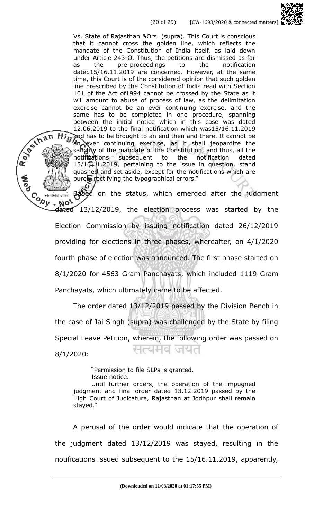Vs. State of Rajasthan &Ors. (supra). This Court is conscious that it cannot cross the golden line, which reflects the mandate of the Constitution of India itself, as laid down under Article 243-O. Thus, the petitions are dismissed as far as the pre-proceedings to the notification dated15/16.11.2019 are concerned. However, at the same time, this Court is of the considered opinion that such golden line prescribed by the Constitution of India read with Section 101 of the Act of1994 cannot be crossed by the State as it will amount to abuse of process of law, as the delimitation exercise cannot be an ever continuing exercise, and the same has to be completed in one procedure, spanning between the initial notice which in this case was dated 12.06.2019 to the final notification which was15/16.11.2019 and has to be brought to an end then and there. It cannot be an ever continuing exercise, as it shall jeopardize the sanctity of the mandate of the Constitution, and thus, all the notifications subsequent to the notification dated 15/16.11.2019, pertaining to the issue in question, stand quashed and set aside, except for the notifications which are purely rectifying the typographical errors."

R. Payman

Based on the status, which emerged after the judgment Content and the seals of the search of the search of the search of the clection process was started by the detect 13/12/2019, the election process was started by the Not Election Commission by issuing notification dated 26/12/2019 providing for elections in three phases, whereafter, on 4/1/2020 fourth phase of election was announced. The first phase started on 8/1/2020 for 4563 Gram Panchayats, which included 1119 Gram Panchayats, which ultimately came to be affected.

The order dated 13/12/2019 passed by the Division Bench in the case of Jai Singh (supra) was challenged by the State by filing Special Leave Petition, wherein, the following order was passed on 나너님의 여러니 8/1/2020:

"Permission to file SLPs is granted. Issue notice. Until further orders, the operation of the impugned judgment and final order dated 13.12.2019 passed by the High Court of Judicature, Rajasthan at Jodhpur shall remain stayed."

A perusal of the order would indicate that the operation of the judgment dated 13/12/2019 was stayed, resulting in the notifications issued subsequent to the 15/16.11.2019, apparently,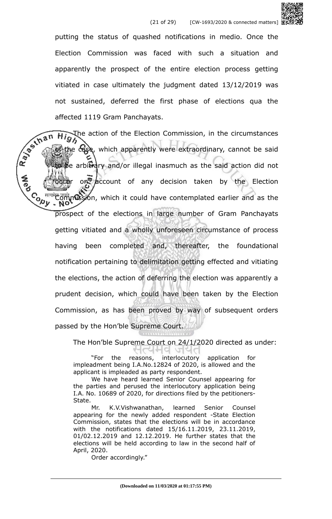

affected 1119 Gram Panchayats.<br>
The action of the Election of the Section of the Election of the Election of the Election of the Election of the Election of the Election of the Election of the Election of the Election of t  $\overrightarrow{H_{12}}$ , the action of the Election Commission, in the circumstances the case, which apparently were extraordinary, cannot be said to be arbitrary and/or illegal inasmuch as the said action did not **A**<br>Po on account of any decision taken by the Election  $\mathcal{C}_{\mathbf{a},\mathbf{b}}$  and  $\mathcal{C}_{\mathbf{b},\mathbf{b}}$  and  $\mathcal{C}_{\mathbf{b},\mathbf{b}}$  and  $\mathcal{C}_{\mathbf{b},\mathbf{b}}$  and  $\mathcal{C}_{\mathbf{b},\mathbf{b}}$  and  $\mathcal{C}_{\mathbf{b},\mathbf{b}}$ prospect of the elections in large number of Gram Panchayats getting vitiated and a wholly unforeseen circumstance of process having been completed and, thereafter, the foundational notification pertaining to delimitation getting effected and vitiating the elections, the action of deferring the election was apparently a prudent decision, which could have been taken by the Election Commission, as has been proved by way of subsequent orders passed by the Hon'ble Supreme Court.

The Hon'ble Supreme Court on 24/1/2020 directed as under:

"For the reasons, interlocutory application for impleadment being I.A.No.12824 of 2020, is allowed and the applicant is impleaded as party respondent.

We have heard learned Senior Counsel appearing for the parties and perused the interlocutory application being I.A. No. 10689 of 2020, for directions filed by the petitioners-State.

Mr. K.V.Vishwanathan, learned Senior Counsel appearing for the newly added respondent -State Election Commission, states that the elections will be in accordance with the notifications dated 15/16.11.2019, 23.11.2019, 01/02.12.2019 and 12.12.2019. He further states that the elections will be held according to law in the second half of April, 2020.

Order accordingly."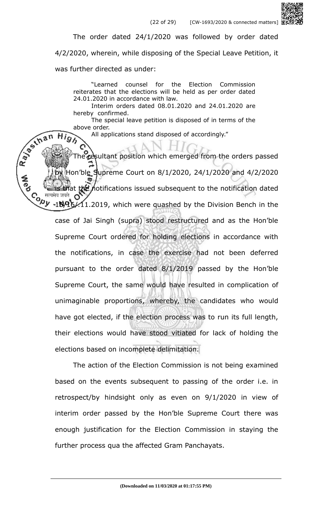

The order dated 24/1/2020 was followed by order dated

4/2/2020, wherein, while disposing of the Special Leave Petition, it

was further directed as under:

 $Hig$ 

"Learned counsel for the Election Commission reiterates that the elections will be held as per order dated 24.01.2020 in accordance with law.

Interim orders dated 08.01.2020 and 24.01.2020 are hereby confirmed.

The special leave petition is disposed of in terms of the above order.

All applications stand disposed of accordingly."

Rayoum The resultant position which emerged from the orders passed Hon'ble Supreme Court on 8/1/2020, 24/1/2020 and 4/2/2020 t the notifications issued subsequent to the notification dated Co सत्यमेव जयत OZ<br>Vy -15/95/11.2019, which were quashed by the Division Bench in the case of Jai Singh (supra) stood restructured and as the Hon'ble Supreme Court ordered for holding elections in accordance with the notifications, in case the exercise had not been deferred pursuant to the order dated 8/1/2019 passed by the Hon'ble Supreme Court, the same would have resulted in complication of unimaginable proportions, whereby, the candidates who would have got elected, if the election process was to run its full length, their elections would have stood vitiated for lack of holding the elections based on incomplete delimitation.

> The action of the Election Commission is not being examined based on the events subsequent to passing of the order i.e. in retrospect/by hindsight only as even on 9/1/2020 in view of interim order passed by the Hon'ble Supreme Court there was enough justification for the Election Commission in staying the further process qua the affected Gram Panchayats.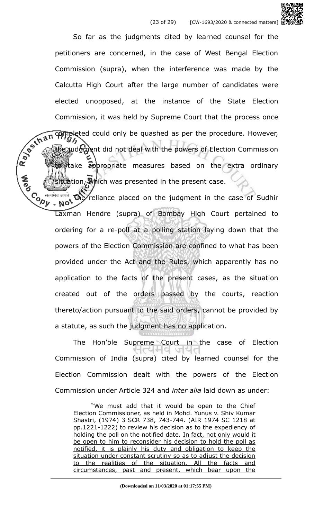So far as the judgments cited by learned counsel for the petitioners are concerned, in the case of West Bengal Election Commission (supra), when the interference was made by the Calcutta High Court after the large number of candidates were elected unopposed, at the instance of the State Election Commission, it was held by Supreme Court that the process once<br>  $\frac{1}{2}$ <br>  $\frac{1}{2}$ <br>  $\frac{1}{2}$ <br>  $\frac{1}{2}$ <br>  $\frac{1}{2}$ <br>  $\frac{1}{2}$ <br>  $\frac{1}{2}$ <br>  $\frac{1}{2}$ <br>  $\frac{1}{2}$ <br>  $\frac{1}{2}$ <br>  $\frac{1}{2}$ <br>  $\frac{1}{2}$ <br>  $\frac{1}{2}$ <br>  $\frac{1}{2}$ <br>  $\frac$ **completed could only be quashed as per the procedure. However,** the judgment did not deal with the powers of Election Commission to appropriate measures based on the extra ordinary ituation, Which was presented in the present case.

 $C_{\lambda}$ <sup>Herma state of Sudhir and  $\lambda$  reliance placed on the judgment in the case of Sudhir</sup> Laxman Hendre (supra) of Bombay High Court pertained to ordering for a re-poll at a polling station laying down that the powers of the Election Commission are confined to what has been provided under the Act and the Rules, which apparently has no application to the facts of the present cases, as the situation created out of the orders passed by the courts, reaction thereto/action pursuant to the said orders, cannot be provided by a statute, as such the judgment has no application.

The Hon'ble Supreme Court in the case of Election जयत Commission of India (supra) cited by learned counsel for the Election Commission dealt with the powers of the Election Commission under Article 324 and *inter alia* laid down as under:

"We must add that it would be open to the Chief Election Commissioner, as held in Mohd. Yunus v. Shiv Kumar Shastri, (1974) 3 SCR 738, 743-744. (AIR 1974 SC 1218 at pp.1221-1222) to review his decision as to the expediency of holding the poll on the notified date. In fact, not only would it be open to him to reconsider his decision to hold the poll as notified, it is plainly his duty and obligation to keep the situation under constant scrutiny so as to adjust the decision to the realities of the situation. All the facts and circumstances, past and present, which bear upon the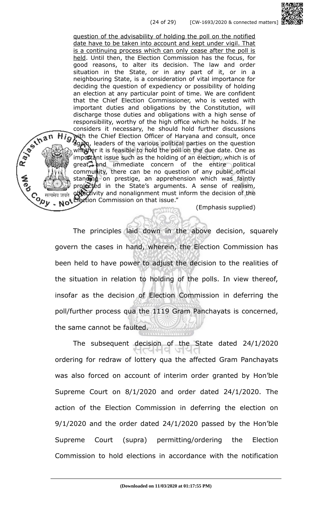question of the advisability of holding the poll on the notified date have to be taken into account and kept under vigil. That is a continuing process which can only cease after the poll is held. Until then, the Election Commission has the focus, for good reasons, to alter its decision. The law and order situation in the State, or in any part of it, or in a neighbouring State, is a consideration of vital importance for deciding the question of expediency or possibility of holding an election at any particular point of time. We are confident that the Chief Election Commissioner, who is vested with important duties and obligations by the Constitution, will discharge those duties and obligations with a high sense of responsibility, worthy of the high office which he holds. If he considers it necessary, he should hold further discussions with the Chief Election Officer of Haryana and consult, once again, leaders of the various political parties on the question whether it is feasible to hold the poll on the due date. One as important issue such as the holding of an election, which is of  $\alpha$  and immediate concern of the entire political community, there can be no question of any public official standing on prestige, an apprehension which was faintly projected in the State's arguments. A sense of realism, objectivity and nonalignment must inform the decision of the Not Election Commission on that issue."

R. P. Inan

Contraction

**SPS** 

(Emphasis supplied)

The principles laid down in the above decision, squarely govern the cases in hand, wherein, the Election Commission has been held to have power to adjust the decision to the realities of the situation in relation to holding of the polls. In view thereof, insofar as the decision of Election Commission in deferring the poll/further process qua the 1119 Gram Panchayats is concerned, the same cannot be faulted.

The subsequent decision of the State dated 24/1/2020 পেল্প অপ ordering for redraw of lottery qua the affected Gram Panchayats was also forced on account of interim order granted by Hon'ble Supreme Court on 8/1/2020 and order dated 24/1/2020. The action of the Election Commission in deferring the election on 9/1/2020 and the order dated 24/1/2020 passed by the Hon'ble Supreme Court (supra) permitting/ordering the Election Commission to hold elections in accordance with the notification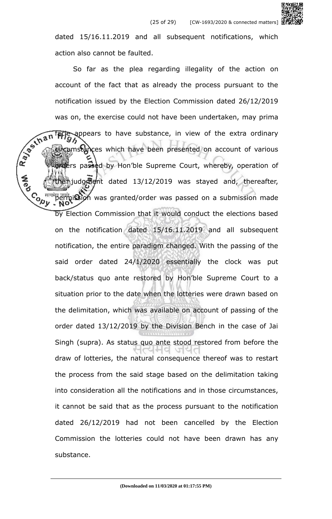dated 15/16.11.2019 and all subsequent notifications, which action also cannot be faulted.

So far as the plea regarding illegality of the action on account of the fact that as already the process pursuant to the notification issued by the Election Commission dated 26/12/2019 was on, the exercise could not have been undertaken, may prima facie appears to have substance, in view of the extra ordinary Rays in circumstances which have been presented on account of various orders passed by Hon'ble Supreme Court, whereby, operation of judgment dated 13/12/2019 was stayed and, thereafter, **Cody** permission was granted/order was passed on a submission made by Election Commission that it would conduct the elections based on the notification dated 15/16.11.2019 and all subsequent notification, the entire paradigm changed. With the passing of the said order dated 24/1/2020 essentially the clock was put back/status quo ante restored by Hon'ble Supreme Court to a situation prior to the date when the lotteries were drawn based on the delimitation, which was available on account of passing of the order dated 13/12/2019 by the Division Bench in the case of Jai Singh (supra). As status quo ante stood restored from before the draw of lotteries, the natural consequence thereof was to restart the process from the said stage based on the delimitation taking into consideration all the notifications and in those circumstances, it cannot be said that as the process pursuant to the notification dated 26/12/2019 had not been cancelled by the Election Commission the lotteries could not have been drawn has any substance.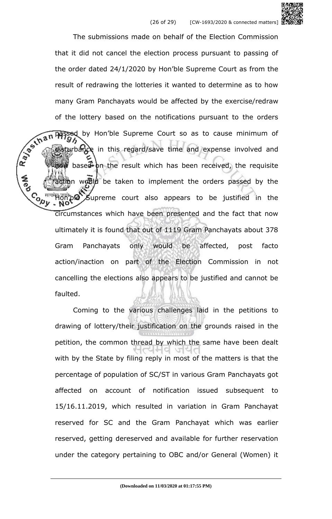The submissions made on behalf of the Election Commission that it did not cancel the election process pursuant to passing of the order dated 24/1/2020 by Hon'ble Supreme Court as from the result of redrawing the lotteries it wanted to determine as to how many Gram Panchayats would be affected by the exercise/redraw of the lottery based on the notifications pursuant to the orders<br>  $\frac{1}{2}$ <br>  $\frac{1}{2}$ <br>  $\frac{1}{2}$ <br>  $\frac{1}{2}$ <br>  $\frac{1}{2}$ <br>  $\frac{1}{2}$ <br>  $\frac{1}{2}$ <br>  $\frac{1}{2}$ <br>  $\frac{1}{2}$ <br>  $\frac{1}{2}$ <br>  $\frac{1}{2}$ <br>  $\frac{1}{2}$ <br>  $\frac{1}{2}$ <br>  $\frac{1}{2}$ <br> passed by Hon'ble Supreme Court so as to cause minimum of disturbance in this regard/save time and expense involved and based on the result which has been received, the requisite iction would be taken to implement the orders passed by the **Cody** be Supreme court also appears to be justified in the circumstances which have been presented and the fact that now ultimately it is found that out of 1119 Gram Panchayats about 378 Gram Panchayats only would be affected, post facto action/inaction on part of the Election Commission in not cancelling the elections also appears to be justified and cannot be faulted.

> Coming to the various challenges laid in the petitions to drawing of lottery/their justification on the grounds raised in the petition, the common thread by which the same have been dealt with by the State by filing reply in most of the matters is that the percentage of population of SC/ST in various Gram Panchayats got affected on account of notification issued subsequent to 15/16.11.2019, which resulted in variation in Gram Panchayat reserved for SC and the Gram Panchayat which was earlier reserved, getting dereserved and available for further reservation under the category pertaining to OBC and/or General (Women) it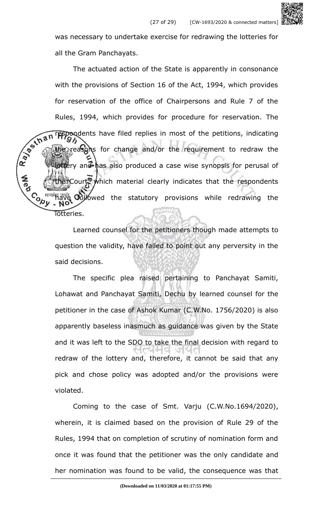was necessary to undertake exercise for redrawing the lotteries for all the Gram Panchayats.

The actuated action of the State is apparently in consonance with the provisions of Section 16 of the Act, 1994, which provides for reservation of the office of Chairpersons and Rule 7 of the Rules, 1994, which provides for procedure for reservation. The  $\sqrt{2\pi n}$  respondents have filed replies in most of the petitions, indicating  $\sqrt{2\pi}$ **respondents** have filed replies in most of the petitions, indicating  $\mathcal{G}\mathcal{H}$ gereasons for change and/or the requirement to redraw the ottery and has also produced a case wise synopsis for perusal of Court, which material clearly indicates that the respondents **Control Gollowed** the statutory provisions while redrawing the Totteries.

> Learned counsel for the petitioners though made attempts to question the validity, have failed to point out any perversity in the said decisions.

> The specific plea raised pertaining to Panchayat Samiti, Lohawat and Panchayat Samiti, Dechu by learned counsel for the petitioner in the case of Ashok Kumar (C.W.No. 1756/2020) is also apparently baseless inasmuch as guidance was given by the State and it was left to the SDO to take the final decision with regard to redraw of the lottery and, therefore, it cannot be said that any pick and chose policy was adopted and/or the provisions were violated.

> Coming to the case of Smt. Varju (C.W.No.1694/2020), wherein, it is claimed based on the provision of Rule 29 of the Rules, 1994 that on completion of scrutiny of nomination form and once it was found that the petitioner was the only candidate and her nomination was found to be valid, the consequence was that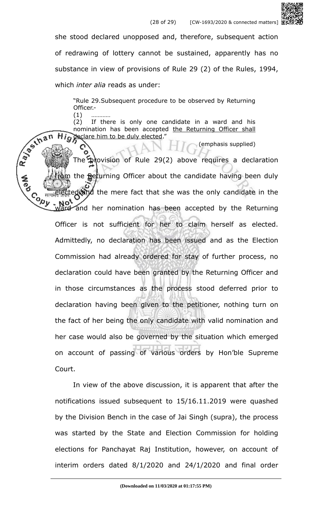

"Rule 29.Subsequent procedure to be observed by Returning Officer.-

 $(1)$ (2) If there is only one candidate in a ward and his nomination has been accepted the Returning Officer shall clare him to be duly elected."

From the Returning Officer about the candidate having been duly (emphasis supplied) The provision of Rule 29(2) above requires a declaration deand the mere fact that she was the only candidate in the **Copy** ard and her nomination has been accepted by the Returning Officer is not sufficient for her to claim herself as elected. Admittedly, no declaration has been issued and as the Election Commission had already ordered for stay of further process, no declaration could have been granted by the Returning Officer and in those circumstances as the process stood deferred prior to declaration having been given to the petitioner, nothing turn on the fact of her being the only candidate with valid nomination and her case would also be governed by the situation which emerged on account of passing of various orders by Hon'ble Supreme Court.

> In view of the above discussion, it is apparent that after the notifications issued subsequent to 15/16.11.2019 were quashed by the Division Bench in the case of Jai Singh (supra), the process was started by the State and Election Commission for holding elections for Panchayat Raj Institution, however, on account of interim orders dated 8/1/2020 and 24/1/2020 and final order